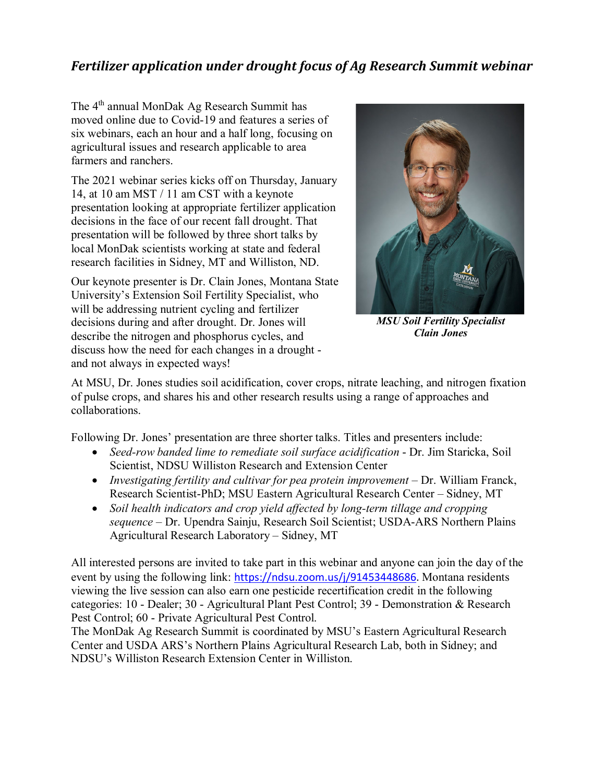## *Fertilizer application under drought focus of Ag Research Summit webinar*

The 4<sup>th</sup> annual MonDak Ag Research Summit has moved online due to Covid-19 and features a series of six webinars, each an hour and a half long, focusing on agricultural issues and research applicable to area farmers and ranchers.

The 2021 webinar series kicks off on Thursday, January 14, at 10 am MST / 11 am CST with a keynote presentation looking at appropriate fertilizer application decisions in the face of our recent fall drought. That presentation will be followed by three short talks by local MonDak scientists working at state and federal research facilities in Sidney, MT and Williston, ND.

Our keynote presenter is Dr. Clain Jones, Montana State University's Extension Soil Fertility Specialist, who will be addressing nutrient cycling and fertilizer decisions during and after drought. Dr. Jones will describe the nitrogen and phosphorus cycles, and discuss how the need for each changes in a drought and not always in expected ways!



*MSU Soil Fertility Specialist Clain Jones*

At MSU, Dr. Jones studies soil acidification, cover crops, nitrate leaching, and nitrogen fixation of pulse crops, and shares his and other research results using a range of approaches and collaborations.

Following Dr. Jones' presentation are three shorter talks. Titles and presenters include:

- *Seed-row banded lime to remediate soil surface acidification* Dr. Jim Staricka, Soil Scientist, NDSU Williston Research and Extension Center
- *Investigating fertility and cultivar for pea protein improvement* Dr. William Franck, Research Scientist-PhD; MSU Eastern Agricultural Research Center – Sidney, MT
- *Soil health indicators and crop yield affected by long-term tillage and cropping sequence* – Dr. Upendra Sainju, Research Soil Scientist; USDA-ARS Northern Plains Agricultural Research Laboratory – Sidney, MT

All interested persons are invited to take part in this webinar and anyone can join the day of the event by using the following link: [https://ndsu.zoom.us/j/91453448686.](https://gcc02.safelinks.protection.outlook.com/?url=https%3A%2F%2Fndsu.zoom.us%2Fj%2F91453448686&data=04%7C01%7C%7C22b3bbcaa7f2405cc9c208d8adbc6989%7Ced5b36e701ee4ebc867ee03cfa0d4697%7C0%7C0%7C637450372026386760%7CUnknown%7CTWFpbGZsb3d8eyJWIjoiMC4wLjAwMDAiLCJQIjoiV2luMzIiLCJBTiI6Ik1haWwiLCJXVCI6Mn0%3D%7C1000&sdata=Z%2BY0zr54CO6FF0UCIHT%2FyUV6FyJcHFWDgahaPlcKqF8%3D&reserved=0) Montana residents viewing the live session can also earn one pesticide recertification credit in the following categories: 10 - Dealer; 30 - Agricultural Plant Pest Control; 39 - Demonstration & Research Pest Control; 60 - Private Agricultural Pest Control.

The MonDak Ag Research Summit is coordinated by MSU's Eastern Agricultural Research Center and USDA ARS's Northern Plains Agricultural Research Lab, both in Sidney; and NDSU's Williston Research Extension Center in Williston.